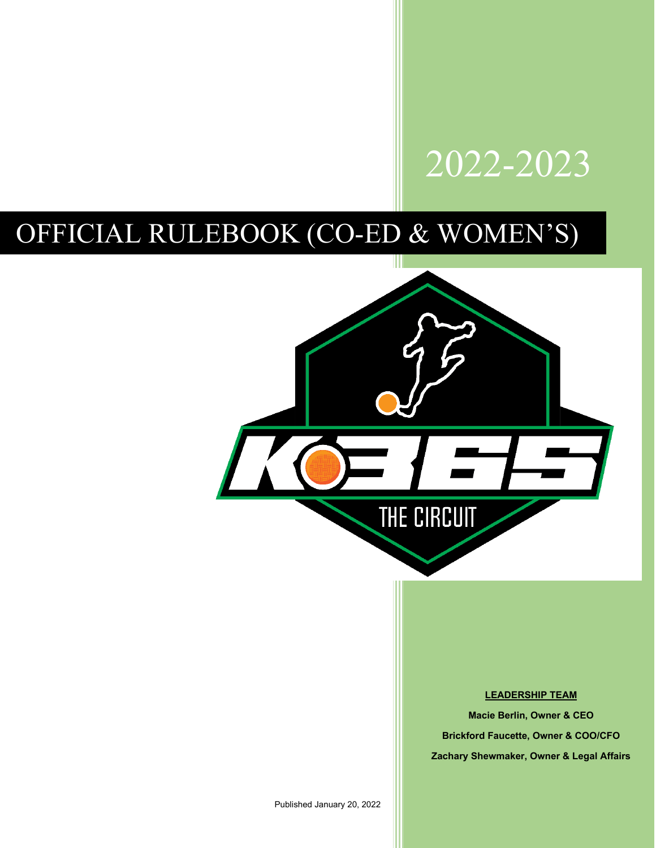# 2022-2023

# OFFICIAL RULEBOOK (CO-ED & WOMEN'S)



# **LEADERSHIP TEAM**

**Macie Berlin, Owner & CEO Brickford Faucette, Owner & COO/CFO Zachary Shewmaker, Owner & Legal Affairs**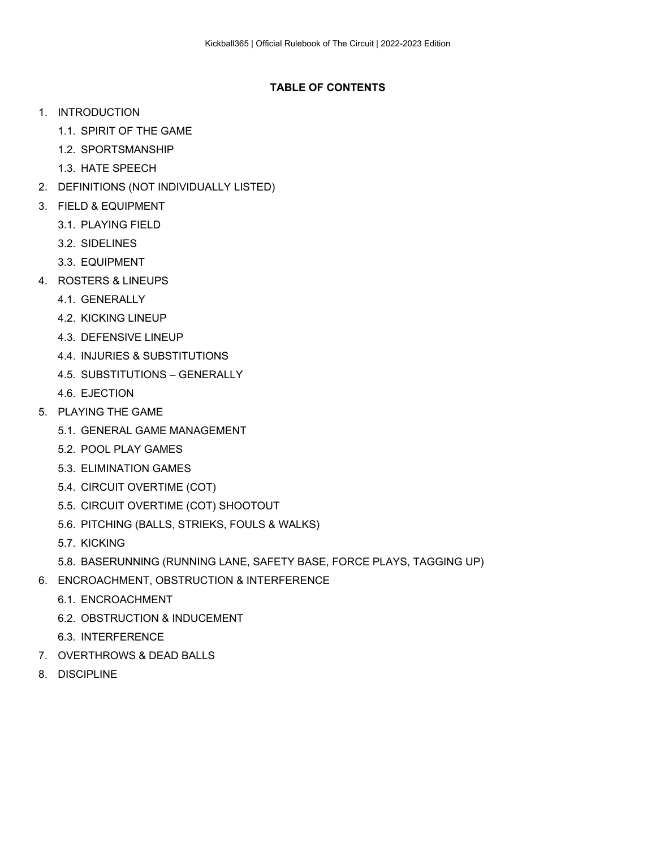# **TABLE OF CONTENTS**

- 1. INTRODUCTION
	- 1.1. SPIRIT OF THE GAME
	- 1.2. SPORTSMANSHIP
	- 1.3. HATE SPEECH
- 2. DEFINITIONS (NOT INDIVIDUALLY LISTED)
- 3. FIELD & EQUIPMENT
	- 3.1. PLAYING FIELD
	- 3.2. SIDELINES
	- 3.3. EQUIPMENT
- 4. ROSTERS & LINEUPS
	- 4.1. GENERALLY
	- 4.2. KICKING LINEUP
	- 4.3. DEFENSIVE LINEUP
	- 4.4. INJURIES & SUBSTITUTIONS
	- 4.5. SUBSTITUTIONS GENERALLY
	- 4.6. EJECTION
- 5. PLAYING THE GAME
	- 5.1. GENERAL GAME MANAGEMENT
	- 5.2. POOL PLAY GAMES
	- 5.3. ELIMINATION GAMES
	- 5.4. CIRCUIT OVERTIME (COT)
	- 5.5. CIRCUIT OVERTIME (COT) SHOOTOUT
	- 5.6. PITCHING (BALLS, STRIEKS, FOULS & WALKS)
	- 5.7. KICKING
	- 5.8. BASERUNNING (RUNNING LANE, SAFETY BASE, FORCE PLAYS, TAGGING UP)
- 6. ENCROACHMENT, OBSTRUCTION & INTERFERENCE
	- 6.1. ENCROACHMENT
	- 6.2. OBSTRUCTION & INDUCEMENT
	- 6.3. INTERFERENCE
- 7. OVERTHROWS & DEAD BALLS
- 8. DISCIPLINE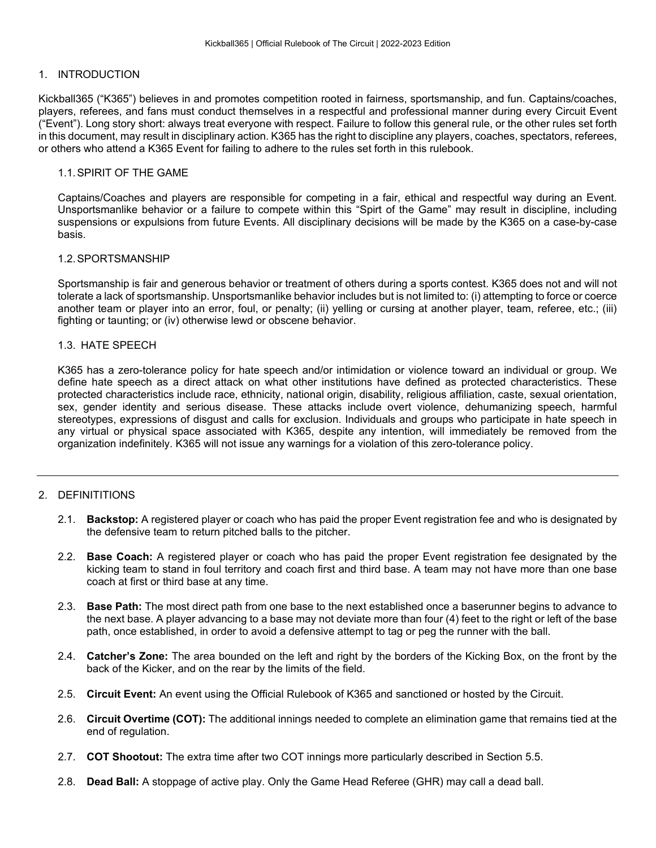# 1. INTRODUCTION

Kickball365 ("K365") believes in and promotes competition rooted in fairness, sportsmanship, and fun. Captains/coaches, players, referees, and fans must conduct themselves in a respectful and professional manner during every Circuit Event ("Event"). Long story short: always treat everyone with respect. Failure to follow this general rule, or the other rules set forth in this document, may result in disciplinary action. K365 has the right to discipline any players, coaches, spectators, referees, or others who attend a K365 Event for failing to adhere to the rules set forth in this rulebook.

# 1.1.SPIRIT OF THE GAME

Captains/Coaches and players are responsible for competing in a fair, ethical and respectful way during an Event. Unsportsmanlike behavior or a failure to compete within this "Spirt of the Game" may result in discipline, including suspensions or expulsions from future Events. All disciplinary decisions will be made by the K365 on a case-by-case basis.

#### 1.2.SPORTSMANSHIP

Sportsmanship is fair and generous behavior or treatment of others during a sports contest. K365 does not and will not tolerate a lack of sportsmanship. Unsportsmanlike behavior includes but is not limited to: (i) attempting to force or coerce another team or player into an error, foul, or penalty; (ii) yelling or cursing at another player, team, referee, etc.; (iii) fighting or taunting; or (iv) otherwise lewd or obscene behavior.

#### 1.3. HATE SPEECH

K365 has a zero-tolerance policy for hate speech and/or intimidation or violence toward an individual or group. We define hate speech as a direct attack on what other institutions have defined as protected characteristics. These protected characteristics include race, ethnicity, national origin, disability, religious affiliation, caste, sexual orientation, sex, gender identity and serious disease. These attacks include overt violence, dehumanizing speech, harmful stereotypes, expressions of disgust and calls for exclusion. Individuals and groups who participate in hate speech in any virtual or physical space associated with K365, despite any intention, will immediately be removed from the organization indefinitely. K365 will not issue any warnings for a violation of this zero-tolerance policy.

# 2. DEFINITITIONS

- 2.1. **Backstop:** A registered player or coach who has paid the proper Event registration fee and who is designated by the defensive team to return pitched balls to the pitcher.
- 2.2. **Base Coach:** A registered player or coach who has paid the proper Event registration fee designated by the kicking team to stand in foul territory and coach first and third base. A team may not have more than one base coach at first or third base at any time.
- 2.3. **Base Path:** The most direct path from one base to the next established once a baserunner begins to advance to the next base. A player advancing to a base may not deviate more than four (4) feet to the right or left of the base path, once established, in order to avoid a defensive attempt to tag or peg the runner with the ball.
- 2.4. **Catcher's Zone:** The area bounded on the left and right by the borders of the Kicking Box, on the front by the back of the Kicker, and on the rear by the limits of the field.
- 2.5. **Circuit Event:** An event using the Official Rulebook of K365 and sanctioned or hosted by the Circuit.
- 2.6. **Circuit Overtime (COT):** The additional innings needed to complete an elimination game that remains tied at the end of regulation.
- 2.7. **COT Shootout:** The extra time after two COT innings more particularly described in Section 5.5.
- 2.8. **Dead Ball:** A stoppage of active play. Only the Game Head Referee (GHR) may call a dead ball.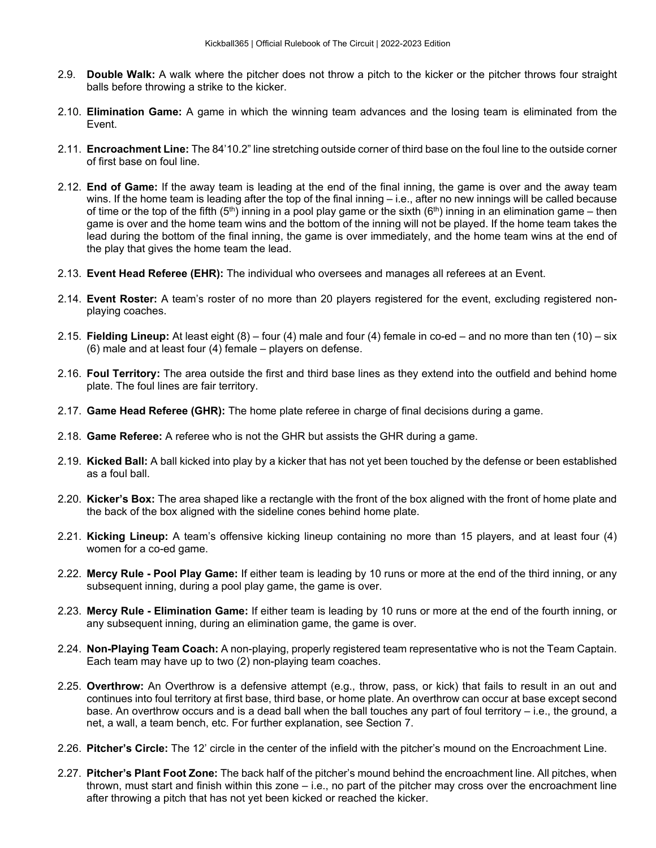- 2.9. **Double Walk:** A walk where the pitcher does not throw a pitch to the kicker or the pitcher throws four straight balls before throwing a strike to the kicker.
- 2.10. **Elimination Game:** A game in which the winning team advances and the losing team is eliminated from the Event.
- 2.11. **Encroachment Line:** The 84'10.2" line stretching outside corner of third base on the foul line to the outside corner of first base on foul line.
- 2.12. **End of Game:** If the away team is leading at the end of the final inning, the game is over and the away team wins. If the home team is leading after the top of the final inning – i.e., after no new innings will be called because of time or the top of the fifth (5<sup>th</sup>) inning in a pool play game or the sixth (6<sup>th</sup>) inning in an elimination game – then game is over and the home team wins and the bottom of the inning will not be played. If the home team takes the lead during the bottom of the final inning, the game is over immediately, and the home team wins at the end of the play that gives the home team the lead.
- 2.13. **Event Head Referee (EHR):** The individual who oversees and manages all referees at an Event.
- 2.14. **Event Roster:** A team's roster of no more than 20 players registered for the event, excluding registered nonplaying coaches.
- 2.15. **Fielding Lineup:** At least eight (8) four (4) male and four (4) female in co-ed and no more than ten (10) six (6) male and at least four (4) female – players on defense.
- 2.16. **Foul Territory:** The area outside the first and third base lines as they extend into the outfield and behind home plate. The foul lines are fair territory.
- 2.17. **Game Head Referee (GHR):** The home plate referee in charge of final decisions during a game.
- 2.18. **Game Referee:** A referee who is not the GHR but assists the GHR during a game.
- 2.19. **Kicked Ball:** A ball kicked into play by a kicker that has not yet been touched by the defense or been established as a foul ball.
- 2.20. **Kicker's Box:** The area shaped like a rectangle with the front of the box aligned with the front of home plate and the back of the box aligned with the sideline cones behind home plate.
- 2.21. **Kicking Lineup:** A team's offensive kicking lineup containing no more than 15 players, and at least four (4) women for a co-ed game.
- 2.22. **Mercy Rule - Pool Play Game:** If either team is leading by 10 runs or more at the end of the third inning, or any subsequent inning, during a pool play game, the game is over.
- 2.23. **Mercy Rule - Elimination Game:** If either team is leading by 10 runs or more at the end of the fourth inning, or any subsequent inning, during an elimination game, the game is over.
- 2.24. **Non-Playing Team Coach:** A non-playing, properly registered team representative who is not the Team Captain. Each team may have up to two (2) non-playing team coaches.
- 2.25. **Overthrow:** An Overthrow is a defensive attempt (e.g., throw, pass, or kick) that fails to result in an out and continues into foul territory at first base, third base, or home plate. An overthrow can occur at base except second base. An overthrow occurs and is a dead ball when the ball touches any part of foul territory – i.e., the ground, a net, a wall, a team bench, etc. For further explanation, see Section 7.
- 2.26. **Pitcher's Circle:** The 12' circle in the center of the infield with the pitcher's mound on the Encroachment Line.
- 2.27. **Pitcher's Plant Foot Zone:** The back half of the pitcher's mound behind the encroachment line. All pitches, when thrown, must start and finish within this zone – i.e., no part of the pitcher may cross over the encroachment line after throwing a pitch that has not yet been kicked or reached the kicker.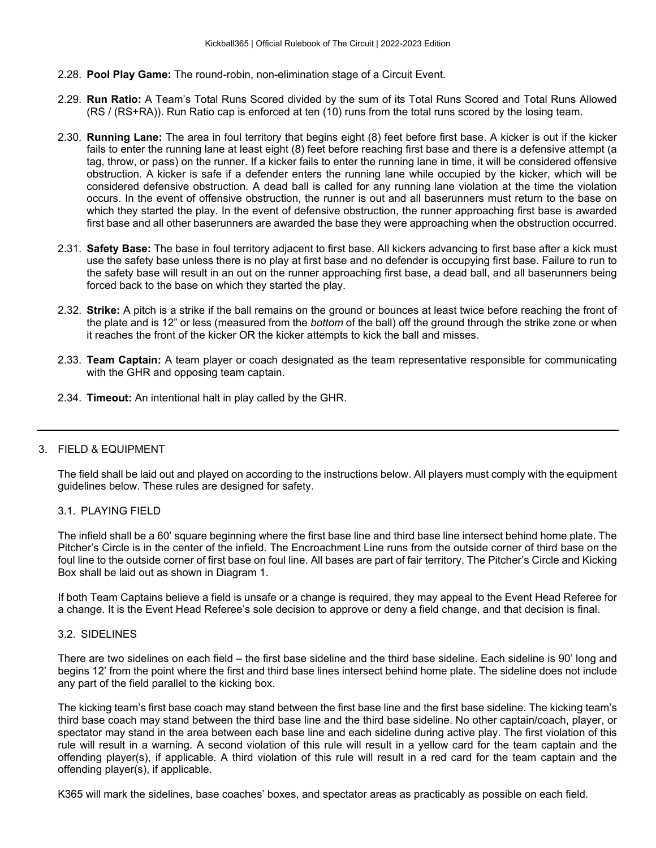- 2.28. **Pool Play Game:** The round-robin, non-elimination stage of a Circuit Event.
- 2.29. **Run Ratio:** A Team's Total Runs Scored divided by the sum of its Total Runs Scored and Total Runs Allowed (RS / (RS+RA)). Run Ratio cap is enforced at ten (10) runs from the total runs scored by the losing team.
- 2.30. **Running Lane:** The area in foul territory that begins eight (8) feet before first base. A kicker is out if the kicker fails to enter the running lane at least eight (8) feet before reaching first base and there is a defensive attempt (a tag, throw, or pass) on the runner. If a kicker fails to enter the running lane in time, it will be considered offensive obstruction. A kicker is safe if a defender enters the running lane while occupied by the kicker, which will be considered defensive obstruction. A dead ball is called for any running lane violation at the time the violation occurs. In the event of offensive obstruction, the runner is out and all baserunners must return to the base on which they started the play. In the event of defensive obstruction, the runner approaching first base is awarded first base and all other baserunners are awarded the base they were approaching when the obstruction occurred.
- 2.31. **Safety Base:** The base in foul territory adjacent to first base. All kickers advancing to first base after a kick must use the safety base unless there is no play at first base and no defender is occupying first base. Failure to run to the safety base will result in an out on the runner approaching first base, a dead ball, and all baserunners being forced back to the base on which they started the play.
- 2.32. **Strike:** A pitch is a strike if the ball remains on the ground or bounces at least twice before reaching the front of the plate and is 12" or less (measured from the *bottom* of the ball) off the ground through the strike zone or when it reaches the front of the kicker OR the kicker attempts to kick the ball and misses.
- 2.33. **Team Captain:** A team player or coach designated as the team representative responsible for communicating with the GHR and opposing team captain.
- 2.34. **Timeout:** An intentional halt in play called by the GHR.

# 3. FIELD & EQUIPMENT

The field shall be laid out and played on according to the instructions below. All players must comply with the equipment guidelines below. These rules are designed for safety.

#### 3.1. PLAYING FIELD

The infield shall be a 60' square beginning where the first base line and third base line intersect behind home plate. The Pitcher's Circle is in the center of the infield. The Encroachment Line runs from the outside corner of third base on the foul line to the outside corner of first base on foul line. All bases are part of fair territory. The Pitcher's Circle and Kicking Box shall be laid out as shown in Diagram 1.

If both Team Captains believe a field is unsafe or a change is required, they may appeal to the Event Head Referee for a change. It is the Event Head Referee's sole decision to approve or deny a field change, and that decision is final.

#### 3.2. SIDELINES

There are two sidelines on each field – the first base sideline and the third base sideline. Each sideline is 90' long and begins 12' from the point where the first and third base lines intersect behind home plate. The sideline does not include any part of the field parallel to the kicking box.

The kicking team's first base coach may stand between the first base line and the first base sideline. The kicking team's third base coach may stand between the third base line and the third base sideline. No other captain/coach, player, or spectator may stand in the area between each base line and each sideline during active play. The first violation of this rule will result in a warning. A second violation of this rule will result in a yellow card for the team captain and the offending player(s), if applicable. A third violation of this rule will result in a red card for the team captain and the offending player(s), if applicable.

K365 will mark the sidelines, base coaches' boxes, and spectator areas as practicably as possible on each field.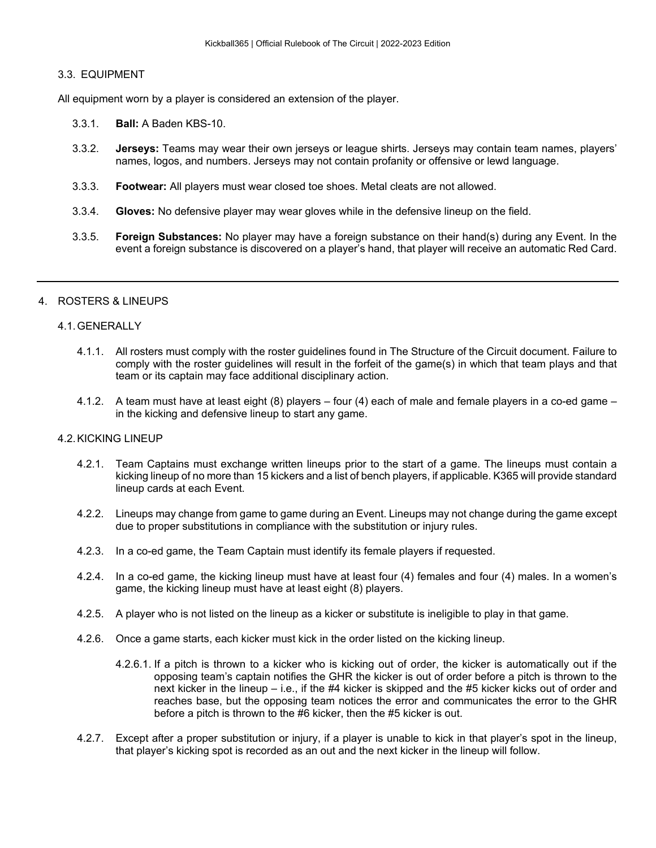# 3.3. EQUIPMENT

All equipment worn by a player is considered an extension of the player.

- 3.3.1. **Ball:** A Baden KBS-10.
- 3.3.2. **Jerseys:** Teams may wear their own jerseys or league shirts. Jerseys may contain team names, players' names, logos, and numbers. Jerseys may not contain profanity or offensive or lewd language.
- 3.3.3. **Footwear:** All players must wear closed toe shoes. Metal cleats are not allowed.
- 3.3.4. **Gloves:** No defensive player may wear gloves while in the defensive lineup on the field.
- 3.3.5. **Foreign Substances:** No player may have a foreign substance on their hand(s) during any Event. In the event a foreign substance is discovered on a player's hand, that player will receive an automatic Red Card.

# 4. ROSTERS & LINEUPS

#### 4.1.GENERALLY

- 4.1.1. All rosters must comply with the roster guidelines found in The Structure of the Circuit document. Failure to comply with the roster guidelines will result in the forfeit of the game(s) in which that team plays and that team or its captain may face additional disciplinary action.
- 4.1.2. A team must have at least eight (8) players four (4) each of male and female players in a co-ed game in the kicking and defensive lineup to start any game.

#### 4.2.KICKING LINEUP

- 4.2.1. Team Captains must exchange written lineups prior to the start of a game. The lineups must contain a kicking lineup of no more than 15 kickers and a list of bench players, if applicable. K365 will provide standard lineup cards at each Event.
- 4.2.2. Lineups may change from game to game during an Event. Lineups may not change during the game except due to proper substitutions in compliance with the substitution or injury rules.
- 4.2.3. In a co-ed game, the Team Captain must identify its female players if requested.
- 4.2.4. In a co-ed game, the kicking lineup must have at least four (4) females and four (4) males. In a women's game, the kicking lineup must have at least eight (8) players.
- 4.2.5. A player who is not listed on the lineup as a kicker or substitute is ineligible to play in that game.
- 4.2.6. Once a game starts, each kicker must kick in the order listed on the kicking lineup.
	- 4.2.6.1. If a pitch is thrown to a kicker who is kicking out of order, the kicker is automatically out if the opposing team's captain notifies the GHR the kicker is out of order before a pitch is thrown to the next kicker in the lineup – i.e., if the #4 kicker is skipped and the #5 kicker kicks out of order and reaches base, but the opposing team notices the error and communicates the error to the GHR before a pitch is thrown to the #6 kicker, then the #5 kicker is out.
- 4.2.7. Except after a proper substitution or injury, if a player is unable to kick in that player's spot in the lineup, that player's kicking spot is recorded as an out and the next kicker in the lineup will follow.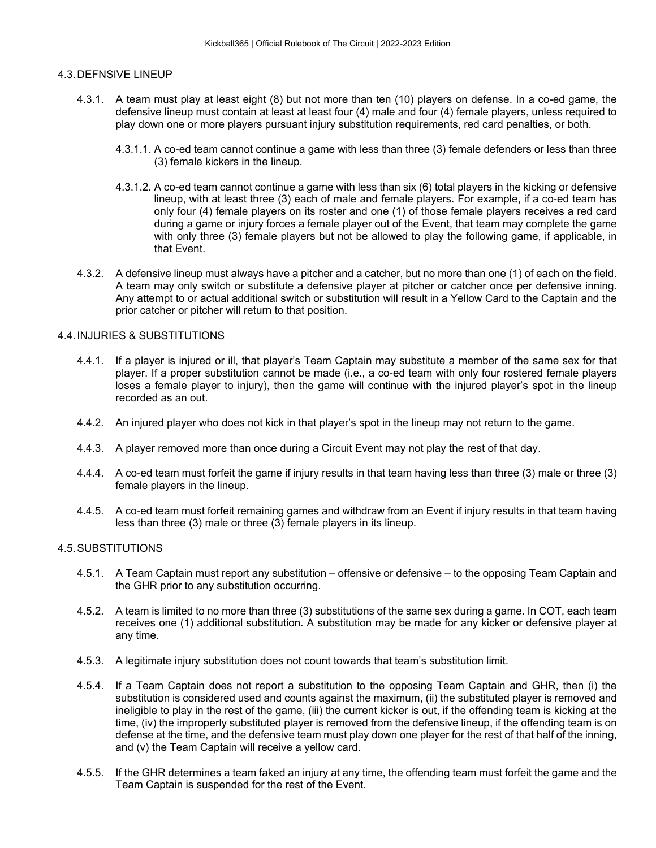# 4.3.DEFNSIVE LINEUP

- 4.3.1. A team must play at least eight (8) but not more than ten (10) players on defense. In a co-ed game, the defensive lineup must contain at least at least four (4) male and four (4) female players, unless required to play down one or more players pursuant injury substitution requirements, red card penalties, or both.
	- 4.3.1.1. A co-ed team cannot continue a game with less than three (3) female defenders or less than three (3) female kickers in the lineup.
	- 4.3.1.2. A co-ed team cannot continue a game with less than six (6) total players in the kicking or defensive lineup, with at least three (3) each of male and female players. For example, if a co-ed team has only four (4) female players on its roster and one (1) of those female players receives a red card during a game or injury forces a female player out of the Event, that team may complete the game with only three (3) female players but not be allowed to play the following game, if applicable, in that Event.
- 4.3.2. A defensive lineup must always have a pitcher and a catcher, but no more than one (1) of each on the field. A team may only switch or substitute a defensive player at pitcher or catcher once per defensive inning. Any attempt to or actual additional switch or substitution will result in a Yellow Card to the Captain and the prior catcher or pitcher will return to that position.

# 4.4.INJURIES & SUBSTITUTIONS

- 4.4.1. If a player is injured or ill, that player's Team Captain may substitute a member of the same sex for that player. If a proper substitution cannot be made (i.e., a co-ed team with only four rostered female players loses a female player to injury), then the game will continue with the injured player's spot in the lineup recorded as an out.
- 4.4.2. An injured player who does not kick in that player's spot in the lineup may not return to the game.
- 4.4.3. A player removed more than once during a Circuit Event may not play the rest of that day.
- 4.4.4. A co-ed team must forfeit the game if injury results in that team having less than three (3) male or three (3) female players in the lineup.
- 4.4.5. A co-ed team must forfeit remaining games and withdraw from an Event if injury results in that team having less than three (3) male or three (3) female players in its lineup.

# 4.5.SUBSTITUTIONS

- 4.5.1. A Team Captain must report any substitution offensive or defensive to the opposing Team Captain and the GHR prior to any substitution occurring.
- 4.5.2. A team is limited to no more than three (3) substitutions of the same sex during a game. In COT, each team receives one (1) additional substitution. A substitution may be made for any kicker or defensive player at any time.
- 4.5.3. A legitimate injury substitution does not count towards that team's substitution limit.
- 4.5.4. If a Team Captain does not report a substitution to the opposing Team Captain and GHR, then (i) the substitution is considered used and counts against the maximum, (ii) the substituted player is removed and ineligible to play in the rest of the game, (iii) the current kicker is out, if the offending team is kicking at the time, (iv) the improperly substituted player is removed from the defensive lineup, if the offending team is on defense at the time, and the defensive team must play down one player for the rest of that half of the inning, and (v) the Team Captain will receive a yellow card.
- 4.5.5. If the GHR determines a team faked an injury at any time, the offending team must forfeit the game and the Team Captain is suspended for the rest of the Event.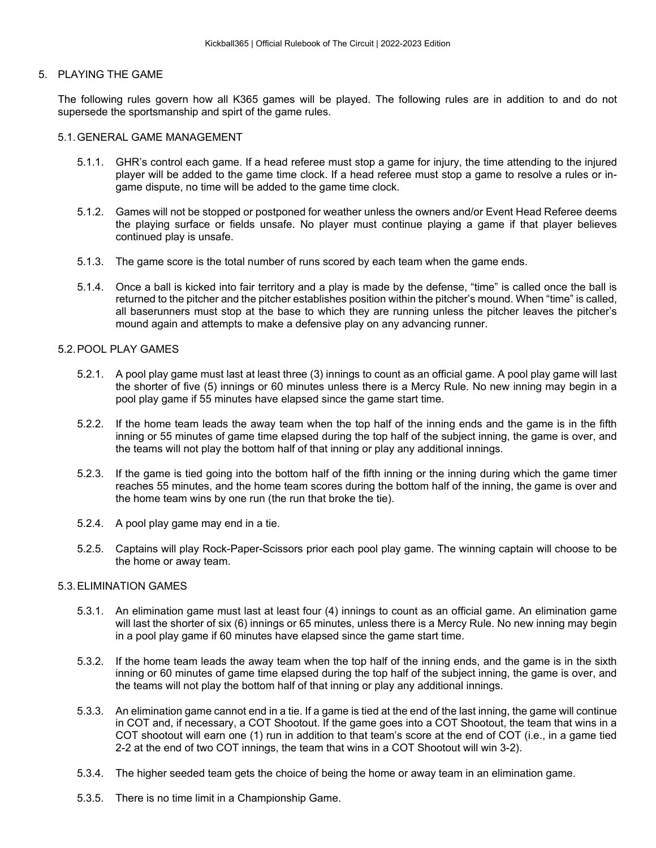#### 5. PLAYING THE GAME

The following rules govern how all K365 games will be played. The following rules are in addition to and do not supersede the sportsmanship and spirt of the game rules.

#### 5.1.GENERAL GAME MANAGEMENT

- 5.1.1. GHR's control each game. If a head referee must stop a game for injury, the time attending to the injured player will be added to the game time clock. If a head referee must stop a game to resolve a rules or ingame dispute, no time will be added to the game time clock.
- 5.1.2. Games will not be stopped or postponed for weather unless the owners and/or Event Head Referee deems the playing surface or fields unsafe. No player must continue playing a game if that player believes continued play is unsafe.
- 5.1.3. The game score is the total number of runs scored by each team when the game ends.
- 5.1.4. Once a ball is kicked into fair territory and a play is made by the defense, "time" is called once the ball is returned to the pitcher and the pitcher establishes position within the pitcher's mound. When "time" is called, all baserunners must stop at the base to which they are running unless the pitcher leaves the pitcher's mound again and attempts to make a defensive play on any advancing runner.

# 5.2.POOL PLAY GAMES

- 5.2.1. A pool play game must last at least three (3) innings to count as an official game. A pool play game will last the shorter of five (5) innings or 60 minutes unless there is a Mercy Rule. No new inning may begin in a pool play game if 55 minutes have elapsed since the game start time.
- 5.2.2. If the home team leads the away team when the top half of the inning ends and the game is in the fifth inning or 55 minutes of game time elapsed during the top half of the subject inning, the game is over, and the teams will not play the bottom half of that inning or play any additional innings.
- 5.2.3. If the game is tied going into the bottom half of the fifth inning or the inning during which the game timer reaches 55 minutes, and the home team scores during the bottom half of the inning, the game is over and the home team wins by one run (the run that broke the tie).
- 5.2.4. A pool play game may end in a tie.
- 5.2.5. Captains will play Rock-Paper-Scissors prior each pool play game. The winning captain will choose to be the home or away team.

#### 5.3.ELIMINATION GAMES

- 5.3.1. An elimination game must last at least four (4) innings to count as an official game. An elimination game will last the shorter of six (6) innings or 65 minutes, unless there is a Mercy Rule. No new inning may begin in a pool play game if 60 minutes have elapsed since the game start time.
- 5.3.2. If the home team leads the away team when the top half of the inning ends, and the game is in the sixth inning or 60 minutes of game time elapsed during the top half of the subject inning, the game is over, and the teams will not play the bottom half of that inning or play any additional innings.
- 5.3.3. An elimination game cannot end in a tie. If a game is tied at the end of the last inning, the game will continue in COT and, if necessary, a COT Shootout. If the game goes into a COT Shootout, the team that wins in a COT shootout will earn one (1) run in addition to that team's score at the end of COT (i.e., in a game tied 2-2 at the end of two COT innings, the team that wins in a COT Shootout will win 3-2).
- 5.3.4. The higher seeded team gets the choice of being the home or away team in an elimination game.
- 5.3.5. There is no time limit in a Championship Game.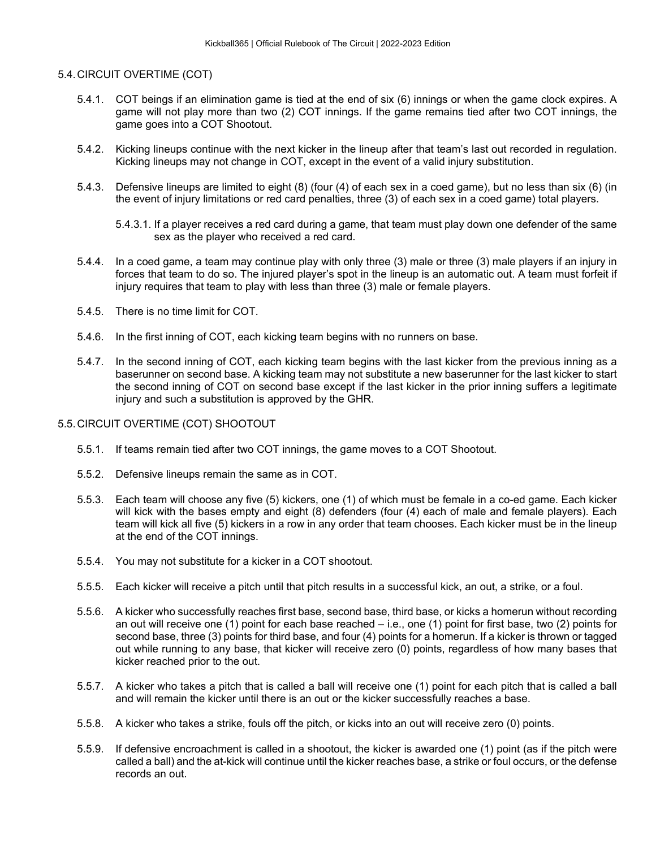# 5.4.CIRCUIT OVERTIME (COT)

- 5.4.1. COT beings if an elimination game is tied at the end of six (6) innings or when the game clock expires. A game will not play more than two (2) COT innings. If the game remains tied after two COT innings, the game goes into a COT Shootout.
- 5.4.2. Kicking lineups continue with the next kicker in the lineup after that team's last out recorded in regulation. Kicking lineups may not change in COT, except in the event of a valid injury substitution.
- 5.4.3. Defensive lineups are limited to eight (8) (four (4) of each sex in a coed game), but no less than six (6) (in the event of injury limitations or red card penalties, three (3) of each sex in a coed game) total players.

- 5.4.4. In a coed game, a team may continue play with only three (3) male or three (3) male players if an injury in forces that team to do so. The injured player's spot in the lineup is an automatic out. A team must forfeit if injury requires that team to play with less than three (3) male or female players.
- 5.4.5. There is no time limit for COT.
- 5.4.6. In the first inning of COT, each kicking team begins with no runners on base.
- 5.4.7. In the second inning of COT, each kicking team begins with the last kicker from the previous inning as a baserunner on second base. A kicking team may not substitute a new baserunner for the last kicker to start the second inning of COT on second base except if the last kicker in the prior inning suffers a legitimate injury and such a substitution is approved by the GHR.

#### 5.5.CIRCUIT OVERTIME (COT) SHOOTOUT

- 5.5.1. If teams remain tied after two COT innings, the game moves to a COT Shootout.
- 5.5.2. Defensive lineups remain the same as in COT.
- 5.5.3. Each team will choose any five (5) kickers, one (1) of which must be female in a co-ed game. Each kicker will kick with the bases empty and eight (8) defenders (four (4) each of male and female players). Each team will kick all five (5) kickers in a row in any order that team chooses. Each kicker must be in the lineup at the end of the COT innings.
- 5.5.4. You may not substitute for a kicker in a COT shootout.
- 5.5.5. Each kicker will receive a pitch until that pitch results in a successful kick, an out, a strike, or a foul.
- 5.5.6. A kicker who successfully reaches first base, second base, third base, or kicks a homerun without recording an out will receive one (1) point for each base reached – i.e., one (1) point for first base, two (2) points for second base, three (3) points for third base, and four (4) points for a homerun. If a kicker is thrown or tagged out while running to any base, that kicker will receive zero (0) points, regardless of how many bases that kicker reached prior to the out.
- 5.5.7. A kicker who takes a pitch that is called a ball will receive one (1) point for each pitch that is called a ball and will remain the kicker until there is an out or the kicker successfully reaches a base.
- 5.5.8. A kicker who takes a strike, fouls off the pitch, or kicks into an out will receive zero (0) points.
- 5.5.9. If defensive encroachment is called in a shootout, the kicker is awarded one (1) point (as if the pitch were called a ball) and the at-kick will continue until the kicker reaches base, a strike or foul occurs, or the defense records an out.

<sup>5.4.3.1.</sup> If a player receives a red card during a game, that team must play down one defender of the same sex as the player who received a red card.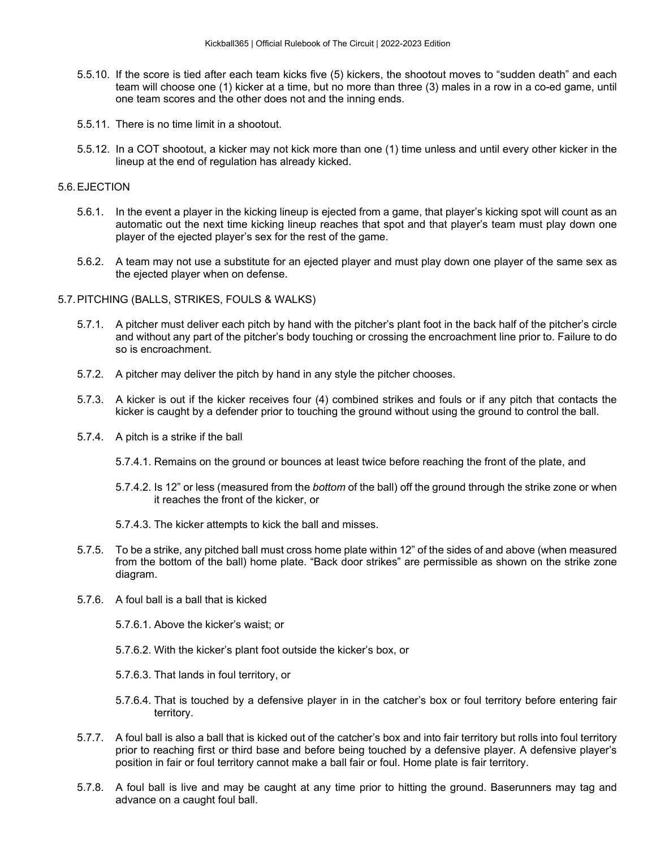- 5.5.10. If the score is tied after each team kicks five (5) kickers, the shootout moves to "sudden death" and each team will choose one (1) kicker at a time, but no more than three (3) males in a row in a co-ed game, until one team scores and the other does not and the inning ends.
- 5.5.11. There is no time limit in a shootout.
- 5.5.12. In a COT shootout, a kicker may not kick more than one (1) time unless and until every other kicker in the lineup at the end of regulation has already kicked.

# 5.6.EJECTION

- 5.6.1. In the event a player in the kicking lineup is ejected from a game, that player's kicking spot will count as an automatic out the next time kicking lineup reaches that spot and that player's team must play down one player of the ejected player's sex for the rest of the game.
- 5.6.2. A team may not use a substitute for an ejected player and must play down one player of the same sex as the ejected player when on defense.
- 5.7.PITCHING (BALLS, STRIKES, FOULS & WALKS)
	- 5.7.1. A pitcher must deliver each pitch by hand with the pitcher's plant foot in the back half of the pitcher's circle and without any part of the pitcher's body touching or crossing the encroachment line prior to. Failure to do so is encroachment.
	- 5.7.2. A pitcher may deliver the pitch by hand in any style the pitcher chooses.
	- 5.7.3. A kicker is out if the kicker receives four (4) combined strikes and fouls or if any pitch that contacts the kicker is caught by a defender prior to touching the ground without using the ground to control the ball.
	- 5.7.4. A pitch is a strike if the ball
		- 5.7.4.1. Remains on the ground or bounces at least twice before reaching the front of the plate, and
		- 5.7.4.2. Is 12" or less (measured from the *bottom* of the ball) off the ground through the strike zone or when it reaches the front of the kicker, or
		- 5.7.4.3. The kicker attempts to kick the ball and misses.
	- 5.7.5. To be a strike, any pitched ball must cross home plate within 12" of the sides of and above (when measured from the bottom of the ball) home plate. "Back door strikes" are permissible as shown on the strike zone diagram.
	- 5.7.6. A foul ball is a ball that is kicked
		- 5.7.6.1. Above the kicker's waist; or
		- 5.7.6.2. With the kicker's plant foot outside the kicker's box, or
		- 5.7.6.3. That lands in foul territory, or
		- 5.7.6.4. That is touched by a defensive player in in the catcher's box or foul territory before entering fair territory.
	- 5.7.7. A foul ball is also a ball that is kicked out of the catcher's box and into fair territory but rolls into foul territory prior to reaching first or third base and before being touched by a defensive player. A defensive player's position in fair or foul territory cannot make a ball fair or foul. Home plate is fair territory.
	- 5.7.8. A foul ball is live and may be caught at any time prior to hitting the ground. Baserunners may tag and advance on a caught foul ball.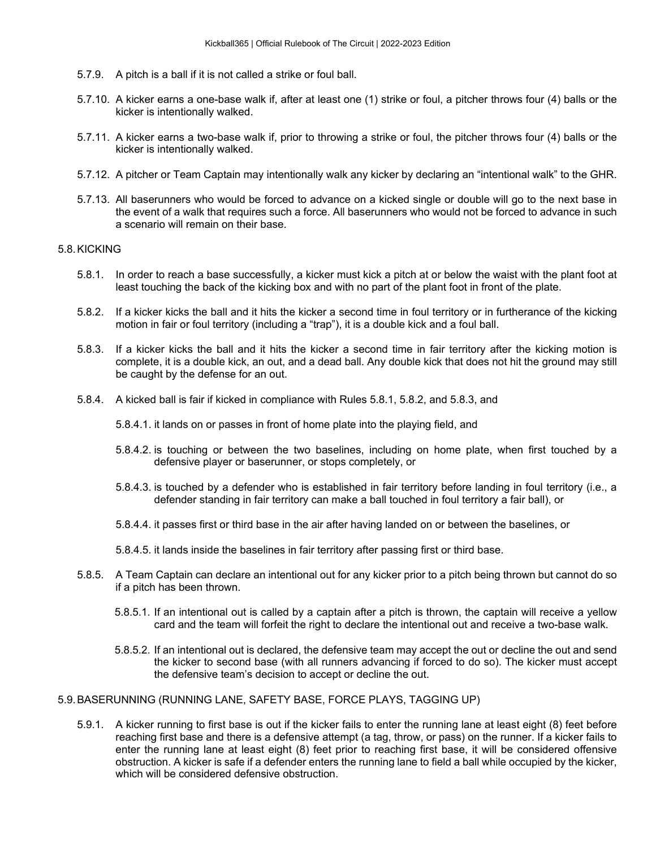- 5.7.9. A pitch is a ball if it is not called a strike or foul ball.
- 5.7.10. A kicker earns a one-base walk if, after at least one (1) strike or foul, a pitcher throws four (4) balls or the kicker is intentionally walked.
- 5.7.11. A kicker earns a two-base walk if, prior to throwing a strike or foul, the pitcher throws four (4) balls or the kicker is intentionally walked.
- 5.7.12. A pitcher or Team Captain may intentionally walk any kicker by declaring an "intentional walk" to the GHR.
- 5.7.13. All baserunners who would be forced to advance on a kicked single or double will go to the next base in the event of a walk that requires such a force. All baserunners who would not be forced to advance in such a scenario will remain on their base.

#### 5.8.KICKING

- 5.8.1. In order to reach a base successfully, a kicker must kick a pitch at or below the waist with the plant foot at least touching the back of the kicking box and with no part of the plant foot in front of the plate.
- 5.8.2. If a kicker kicks the ball and it hits the kicker a second time in foul territory or in furtherance of the kicking motion in fair or foul territory (including a "trap"), it is a double kick and a foul ball.
- 5.8.3. If a kicker kicks the ball and it hits the kicker a second time in fair territory after the kicking motion is complete, it is a double kick, an out, and a dead ball. Any double kick that does not hit the ground may still be caught by the defense for an out.
- 5.8.4. A kicked ball is fair if kicked in compliance with Rules 5.8.1, 5.8.2, and 5.8.3, and
	- 5.8.4.1. it lands on or passes in front of home plate into the playing field, and
	- 5.8.4.2. is touching or between the two baselines, including on home plate, when first touched by a defensive player or baserunner, or stops completely, or
	- 5.8.4.3. is touched by a defender who is established in fair territory before landing in foul territory (i.e., a defender standing in fair territory can make a ball touched in foul territory a fair ball), or
	- 5.8.4.4. it passes first or third base in the air after having landed on or between the baselines, or
	- 5.8.4.5. it lands inside the baselines in fair territory after passing first or third base.
- 5.8.5. A Team Captain can declare an intentional out for any kicker prior to a pitch being thrown but cannot do so if a pitch has been thrown.
	- 5.8.5.1. If an intentional out is called by a captain after a pitch is thrown, the captain will receive a yellow card and the team will forfeit the right to declare the intentional out and receive a two-base walk.
	- 5.8.5.2. If an intentional out is declared, the defensive team may accept the out or decline the out and send the kicker to second base (with all runners advancing if forced to do so). The kicker must accept the defensive team's decision to accept or decline the out.

#### 5.9.BASERUNNING (RUNNING LANE, SAFETY BASE, FORCE PLAYS, TAGGING UP)

5.9.1. A kicker running to first base is out if the kicker fails to enter the running lane at least eight (8) feet before reaching first base and there is a defensive attempt (a tag, throw, or pass) on the runner. If a kicker fails to enter the running lane at least eight (8) feet prior to reaching first base, it will be considered offensive obstruction. A kicker is safe if a defender enters the running lane to field a ball while occupied by the kicker, which will be considered defensive obstruction.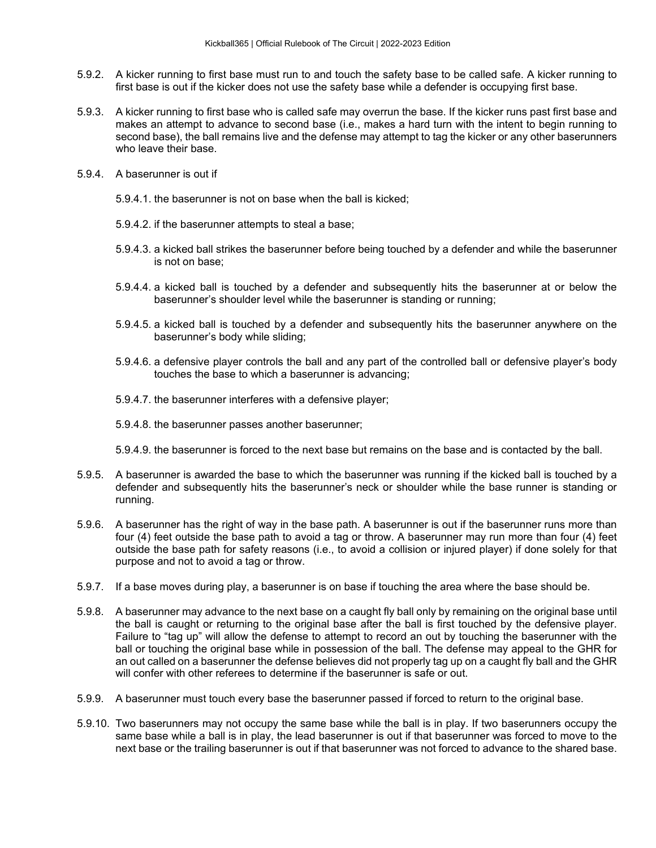- 5.9.2. A kicker running to first base must run to and touch the safety base to be called safe. A kicker running to first base is out if the kicker does not use the safety base while a defender is occupying first base.
- 5.9.3. A kicker running to first base who is called safe may overrun the base. If the kicker runs past first base and makes an attempt to advance to second base (i.e., makes a hard turn with the intent to begin running to second base), the ball remains live and the defense may attempt to tag the kicker or any other baserunners who leave their base.
- 5.9.4. A baserunner is out if
	- 5.9.4.1. the baserunner is not on base when the ball is kicked;
	- 5.9.4.2. if the baserunner attempts to steal a base;
	- 5.9.4.3. a kicked ball strikes the baserunner before being touched by a defender and while the baserunner is not on base;
	- 5.9.4.4. a kicked ball is touched by a defender and subsequently hits the baserunner at or below the baserunner's shoulder level while the baserunner is standing or running;
	- 5.9.4.5. a kicked ball is touched by a defender and subsequently hits the baserunner anywhere on the baserunner's body while sliding;
	- 5.9.4.6. a defensive player controls the ball and any part of the controlled ball or defensive player's body touches the base to which a baserunner is advancing;
	- 5.9.4.7. the baserunner interferes with a defensive player;
	- 5.9.4.8. the baserunner passes another baserunner;
	- 5.9.4.9. the baserunner is forced to the next base but remains on the base and is contacted by the ball.
- 5.9.5. A baserunner is awarded the base to which the baserunner was running if the kicked ball is touched by a defender and subsequently hits the baserunner's neck or shoulder while the base runner is standing or running.
- 5.9.6. A baserunner has the right of way in the base path. A baserunner is out if the baserunner runs more than four (4) feet outside the base path to avoid a tag or throw. A baserunner may run more than four (4) feet outside the base path for safety reasons (i.e., to avoid a collision or injured player) if done solely for that purpose and not to avoid a tag or throw.
- 5.9.7. If a base moves during play, a baserunner is on base if touching the area where the base should be.
- 5.9.8. A baserunner may advance to the next base on a caught fly ball only by remaining on the original base until the ball is caught or returning to the original base after the ball is first touched by the defensive player. Failure to "tag up" will allow the defense to attempt to record an out by touching the baserunner with the ball or touching the original base while in possession of the ball. The defense may appeal to the GHR for an out called on a baserunner the defense believes did not properly tag up on a caught fly ball and the GHR will confer with other referees to determine if the baserunner is safe or out.
- 5.9.9. A baserunner must touch every base the baserunner passed if forced to return to the original base.
- 5.9.10. Two baserunners may not occupy the same base while the ball is in play. If two baserunners occupy the same base while a ball is in play, the lead baserunner is out if that baserunner was forced to move to the next base or the trailing baserunner is out if that baserunner was not forced to advance to the shared base.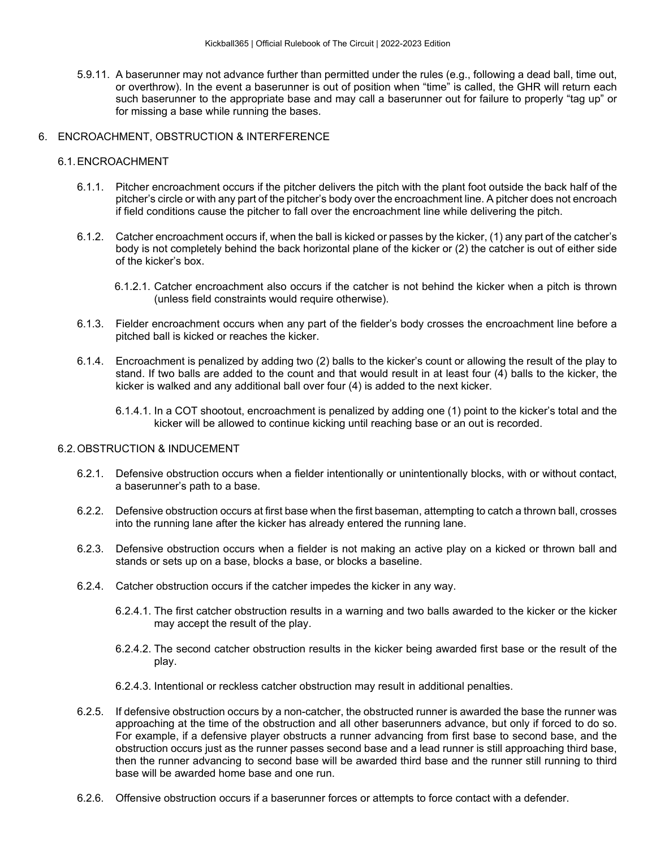5.9.11. A baserunner may not advance further than permitted under the rules (e.g., following a dead ball, time out, or overthrow). In the event a baserunner is out of position when "time" is called, the GHR will return each such baserunner to the appropriate base and may call a baserunner out for failure to properly "tag up" or for missing a base while running the bases.

# 6. ENCROACHMENT, OBSTRUCTION & INTERFERENCE

# 6.1.ENCROACHMENT

- 6.1.1. Pitcher encroachment occurs if the pitcher delivers the pitch with the plant foot outside the back half of the pitcher's circle or with any part of the pitcher's body over the encroachment line. A pitcher does not encroach if field conditions cause the pitcher to fall over the encroachment line while delivering the pitch.
- 6.1.2. Catcher encroachment occurs if, when the ball is kicked or passes by the kicker, (1) any part of the catcher's body is not completely behind the back horizontal plane of the kicker or (2) the catcher is out of either side of the kicker's box.
	- 6.1.2.1. Catcher encroachment also occurs if the catcher is not behind the kicker when a pitch is thrown (unless field constraints would require otherwise).
- 6.1.3. Fielder encroachment occurs when any part of the fielder's body crosses the encroachment line before a pitched ball is kicked or reaches the kicker.
- 6.1.4. Encroachment is penalized by adding two (2) balls to the kicker's count or allowing the result of the play to stand. If two balls are added to the count and that would result in at least four (4) balls to the kicker, the kicker is walked and any additional ball over four (4) is added to the next kicker.
	- 6.1.4.1. In a COT shootout, encroachment is penalized by adding one (1) point to the kicker's total and the kicker will be allowed to continue kicking until reaching base or an out is recorded.

# 6.2.OBSTRUCTION & INDUCEMENT

- 6.2.1. Defensive obstruction occurs when a fielder intentionally or unintentionally blocks, with or without contact, a baserunner's path to a base.
- 6.2.2. Defensive obstruction occurs at first base when the first baseman, attempting to catch a thrown ball, crosses into the running lane after the kicker has already entered the running lane.
- 6.2.3. Defensive obstruction occurs when a fielder is not making an active play on a kicked or thrown ball and stands or sets up on a base, blocks a base, or blocks a baseline.
- 6.2.4. Catcher obstruction occurs if the catcher impedes the kicker in any way.
	- 6.2.4.1. The first catcher obstruction results in a warning and two balls awarded to the kicker or the kicker may accept the result of the play.
	- 6.2.4.2. The second catcher obstruction results in the kicker being awarded first base or the result of the play.
	- 6.2.4.3. Intentional or reckless catcher obstruction may result in additional penalties.
- 6.2.5. If defensive obstruction occurs by a non-catcher, the obstructed runner is awarded the base the runner was approaching at the time of the obstruction and all other baserunners advance, but only if forced to do so. For example, if a defensive player obstructs a runner advancing from first base to second base, and the obstruction occurs just as the runner passes second base and a lead runner is still approaching third base, then the runner advancing to second base will be awarded third base and the runner still running to third base will be awarded home base and one run.
- 6.2.6. Offensive obstruction occurs if a baserunner forces or attempts to force contact with a defender.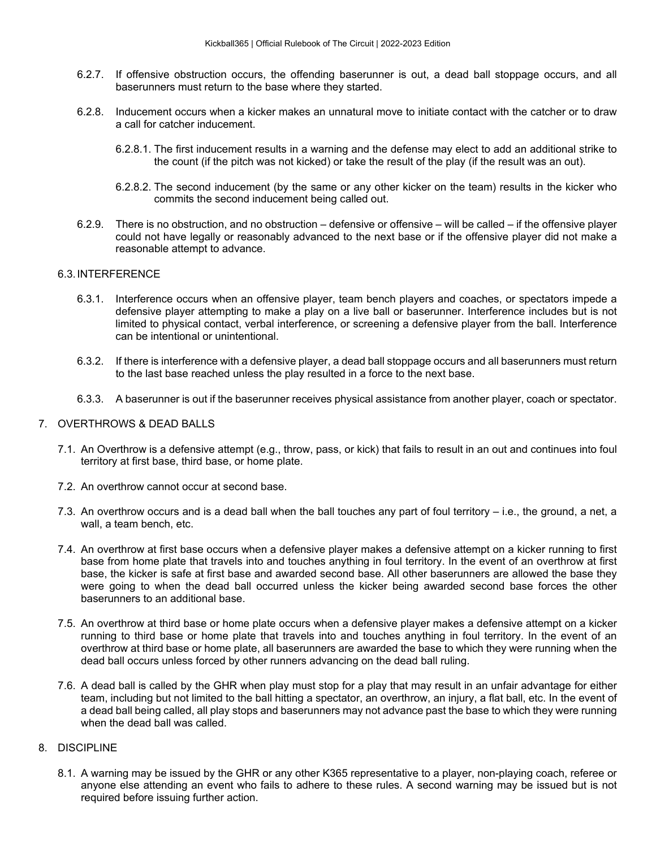- 6.2.7. If offensive obstruction occurs, the offending baserunner is out, a dead ball stoppage occurs, and all baserunners must return to the base where they started.
- 6.2.8. Inducement occurs when a kicker makes an unnatural move to initiate contact with the catcher or to draw a call for catcher inducement.
	- 6.2.8.1. The first inducement results in a warning and the defense may elect to add an additional strike to the count (if the pitch was not kicked) or take the result of the play (if the result was an out).
	- 6.2.8.2. The second inducement (by the same or any other kicker on the team) results in the kicker who commits the second inducement being called out.
- 6.2.9. There is no obstruction, and no obstruction defensive or offensive will be called if the offensive player could not have legally or reasonably advanced to the next base or if the offensive player did not make a reasonable attempt to advance.

# 6.3.INTERFERENCE

- 6.3.1. Interference occurs when an offensive player, team bench players and coaches, or spectators impede a defensive player attempting to make a play on a live ball or baserunner. Interference includes but is not limited to physical contact, verbal interference, or screening a defensive player from the ball. Interference can be intentional or unintentional.
- 6.3.2. If there is interference with a defensive player, a dead ball stoppage occurs and all baserunners must return to the last base reached unless the play resulted in a force to the next base.
- 6.3.3. A baserunner is out if the baserunner receives physical assistance from another player, coach or spectator.

# 7. OVERTHROWS & DEAD BALLS

- 7.1. An Overthrow is a defensive attempt (e.g., throw, pass, or kick) that fails to result in an out and continues into foul territory at first base, third base, or home plate.
- 7.2. An overthrow cannot occur at second base.
- 7.3. An overthrow occurs and is a dead ball when the ball touches any part of foul territory i.e., the ground, a net, a wall, a team bench, etc.
- 7.4. An overthrow at first base occurs when a defensive player makes a defensive attempt on a kicker running to first base from home plate that travels into and touches anything in foul territory. In the event of an overthrow at first base, the kicker is safe at first base and awarded second base. All other baserunners are allowed the base they were going to when the dead ball occurred unless the kicker being awarded second base forces the other baserunners to an additional base.
- 7.5. An overthrow at third base or home plate occurs when a defensive player makes a defensive attempt on a kicker running to third base or home plate that travels into and touches anything in foul territory. In the event of an overthrow at third base or home plate, all baserunners are awarded the base to which they were running when the dead ball occurs unless forced by other runners advancing on the dead ball ruling.
- 7.6. A dead ball is called by the GHR when play must stop for a play that may result in an unfair advantage for either team, including but not limited to the ball hitting a spectator, an overthrow, an injury, a flat ball, etc. In the event of a dead ball being called, all play stops and baserunners may not advance past the base to which they were running when the dead ball was called.

# 8. DISCIPLINE

8.1. A warning may be issued by the GHR or any other K365 representative to a player, non-playing coach, referee or anyone else attending an event who fails to adhere to these rules. A second warning may be issued but is not required before issuing further action.